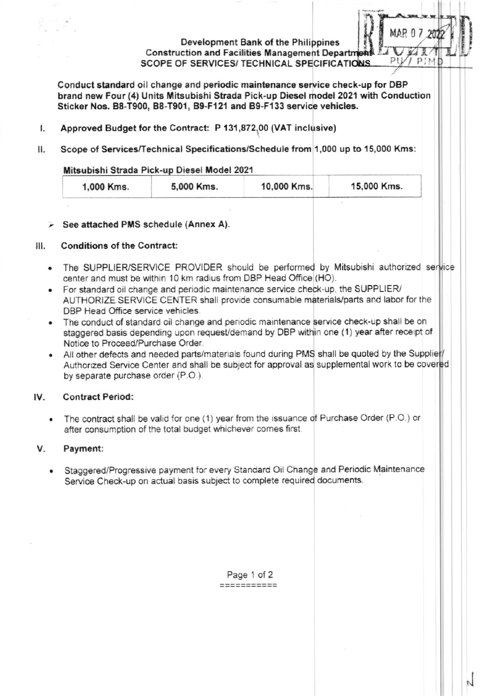# Development Bank of the Philippines **Construction and Facilities Management Department** SCOPE OF SERVICES/ TECHNICAL SPECIFICATIONS.

Conduct standard oil change and periodic maintenance service check-up for DBP brand new Four (4) Units Mitsubishi Strada Pick-up Diesel model 2021 with Conduction Sticker Nos. B8-T900, B8-T901, B9-F121 and B9-F133 service vehicles.

- Approved Budget for the Contract: P 131,872,00 (VAT inclusive)  $\mathbf{I}$ .
- П. Scope of Services/Technical Specifications/Schedule from 1,000 up to 15,000 Kms:

# Mitsubishi Strada Pick-up Diesel Model 2021

|  | 1,000 Kms. | 5,000 Kms. | 10,000 Kms. | 15,000 Kms. |
|--|------------|------------|-------------|-------------|
|--|------------|------------|-------------|-------------|

# > See attached PMS schedule (Annex A).

#### **Conditions of the Contract:**  $III.$

- The SUPPLIER/SERVICE PROVIDER should be performed by Mitsubishi authorized service center and must be within 10 km radius from DBP Head Office (HO).
- For standard oil change and periodic maintenance service check-up, the SUPPLIER/ AUTHORIZE SERVICE CENTER shall provide consumable materials/parts and labor for the DBP Head Office service vehicles.
- The conduct of standard oil change and periodic maintenance service check-up shall be on staggered basis depending upon request/demand by DBP within one (1) year after receipt of Notice to Proceed/Purchase Order.
- All other defects and needed parts/materials found during PMS shall be quoted by the Supplier/ Authorized Service Center and shall be subject for approval as supplemental work to be covered by separate purchase order (P.O.).

#### IV. **Contract Period:**

The contract shall be valid for one (1) year from the issuance of Purchase Order (P.O.) or  $\bullet$ after consumption of the total budget whichever comes first.

#### Payment: V.

Staggered/Progressive payment for every Standard Oil Change and Periodic Maintenance Service Check-up on actual basis subject to complete required documents.

> Page 1 of 2 2222222222

PIME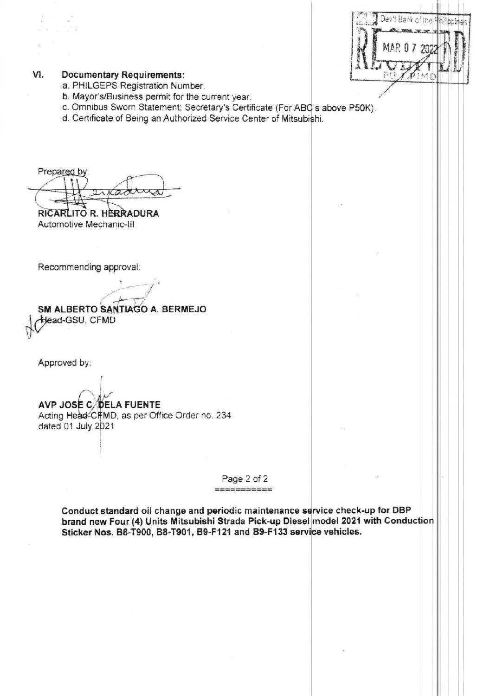|  | Dev't Bank of the Philip |  |  |
|--|--------------------------|--|--|
|  |                          |  |  |
|  | MAR 0 7 202              |  |  |
|  |                          |  |  |

#### VI. **Documentary Requirements:**

- a. PHILGEPS Registration Number.
- b. Mayor's/Business permit for the current year.
- c. Omnibus Sworn Statement; Secretary's Certificate (For ABC's above P50K).
- d. Certificate of Being an Authorized Service Center of Mitsubishi.

Prepared by: aradha

RICARLITO R. HERRADURA Automotive Mechanic-III

Recommending approval:

SM ALBERTO SANTIAGO A. BERMEJO Head-GSU, CFMD

Approved by:

AVP JOSE C/DELA FUENTE Acting Head-CIFMD, as per Office Order no. 234 dated 01 July 2021

> Page 2 of 2  $\frac{1}{2\pi i} \frac{1}{\sin \theta} \frac{1}{\cos \theta} \frac{1}{\cos \theta} \frac{1}{\cos \theta} \frac{1}{\cos \theta} \frac{1}{\cos \theta} \frac{1}{\cos \theta} \frac{1}{\cos \theta} \frac{1}{\cos \theta} \frac{1}{\cos \theta} \frac{1}{\cos \theta} \frac{1}{\cos \theta} \frac{1}{\cos \theta} \frac{1}{\cos \theta} \frac{1}{\cos \theta} \frac{1}{\cos \theta} \frac{1}{\cos \theta} \frac{1}{\cos \theta} \frac{1}{\cos \theta} \frac{1}{\cos \theta} \frac{1}{\cos \theta}$

Conduct standard oil change and periodic maintenance service check-up for DBP brand new Four (4) Units Mitsubishi Strada Pick-up Diesel model 2021 with Conduction Sticker Nos. B8-T900, B8-T901, B9-F121 and B9-F133 service vehicles.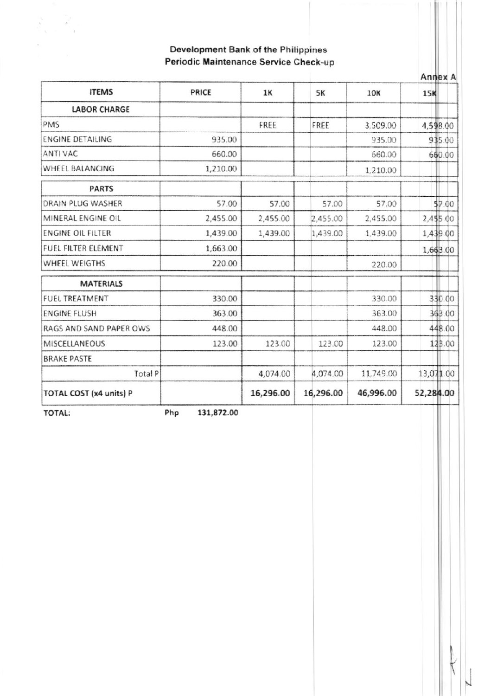# Development Bank of the Philippines Periodic Maintenance Service Check-up

| <b>ITEMS</b>               | PRICE      | <b>1K</b> | 5K        | 10K       | 15K       |  |
|----------------------------|------------|-----------|-----------|-----------|-----------|--|
| <b>LABOR CHARGE</b>        |            |           |           |           |           |  |
| PMS                        |            | FREE      | FREE      | 3,509.00  | 4,598.00  |  |
| <b>ENGINE DETAILING</b>    | 935.00     |           |           | 935.00    | 935.00    |  |
| ANTI VAC                   | 660.00     |           |           | 660.00    | 660.00    |  |
| WHEEL BALANCING            | 1,210.00   |           |           | 1,210.00  |           |  |
| <b>PARTS</b>               |            |           |           |           |           |  |
| DRAIN PLUG WASHER          | 57.00      | 57.00     | 57.00     | 57.00     | \$7.00    |  |
| MINERAL ENGINE OIL         | 2,455.00   | 2,455.00  | 2,455.00  | 2,455.00  | 2,455.00  |  |
| <b>ENGINE OIL FILTER</b>   | 1,439.00   | 1,439.00  | 1,439.00  | 1,439.00  | 1,439.00  |  |
| <b>FUEL FILTER ELEMENT</b> | 1,663.00   |           |           |           | 1,663.00  |  |
| WHEEL WEIGTHS              | 220.00     |           |           | 220.00    |           |  |
| <b>MATERIALS</b>           |            |           |           |           |           |  |
| <b>FUEL TREATMENT</b>      | 330.00     |           |           | 330.00    | 330.00    |  |
| <b>ENGINE FLUSH</b>        | 363.00     |           |           | 363.00    | 363.00    |  |
| RAGS AND SAND PAPER OWS    | 448.00     |           |           | 448.00    | 448.00    |  |
| MISCELLANEOUS              | 123.00     | 123.00    | 123.00    | 123.00    | 123.00    |  |
| <b>BRAKE PASTE</b>         |            |           |           |           |           |  |
| Total P                    |            | 4,074.00  | 4,074.00  | 11,749.00 | 13,071.00 |  |
| TOTAL COST (x4 units) P    |            | 16,296.00 | 16,296.00 | 46,996.00 | 52,284.00 |  |
| Php<br><b>TOTAL:</b>       | 131,872.00 |           |           |           |           |  |

T